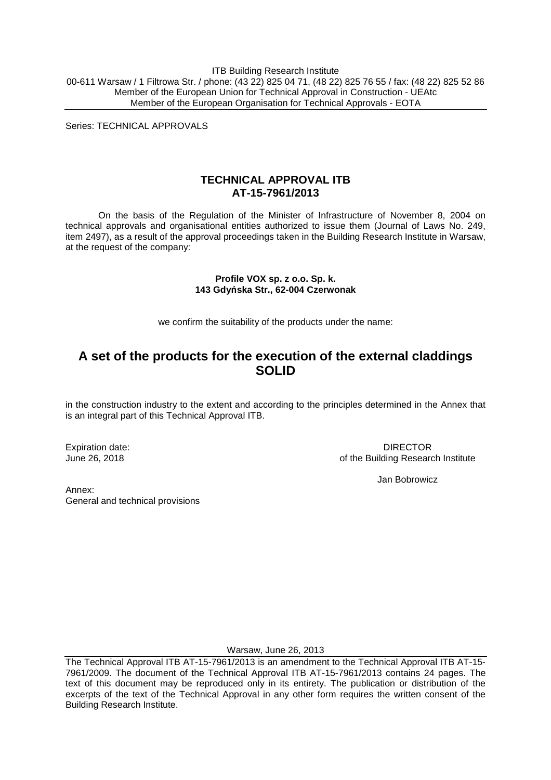ITB Building Research Institute 00-611 Warsaw / 1 Filtrowa Str. / phone: (43 22) 825 04 71, (48 22) 825 76 55 / fax: (48 22) 825 52 86 Member of the European Union for Technical Approval in Construction - UEAtc Member of the European Organisation for Technical Approvals - EOTA

Series: TECHNICAL APPROVALS

## **TECHNICAL APPROVAL ITB AT-15-7961/2013**

On the basis of the Regulation of the Minister of Infrastructure of November 8, 2004 on technical approvals and organisational entities authorized to issue them (Journal of Laws No. 249, item 2497), as a result of the approval proceedings taken in the Building Research Institute in Warsaw, at the request of the company:

#### **Profile VOX sp. z o.o. Sp. k. 143 Gdyńska Str., 62-004 Czerwonak**

we confirm the suitability of the products under the name:

## **A set of the products for the execution of the external claddings SOLID**

in the construction industry to the extent and according to the principles determined in the Annex that is an integral part of this Technical Approval ITB.

Expiration date: June 26, 2018

DIRECTOR of the Building Research Institute

Jan Bobrowicz

Annex: General and technical provisions

Warsaw, June 26, 2013

The Technical Approval ITB AT-15-7961/2013 is an amendment to the Technical Approval ITB AT-15- 7961/2009. The document of the Technical Approval ITB AT-15-7961/2013 contains 24 pages. The text of this document may be reproduced only in its entirety. The publication or distribution of the excerpts of the text of the Technical Approval in any other form requires the written consent of the Building Research Institute.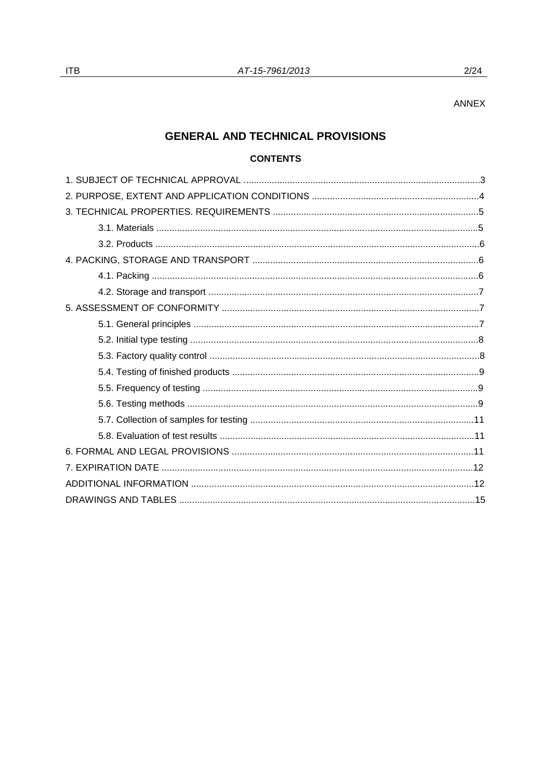$2/24$ 

## **GENERAL AND TECHNICAL PROVISIONS**

## **CONTENTS**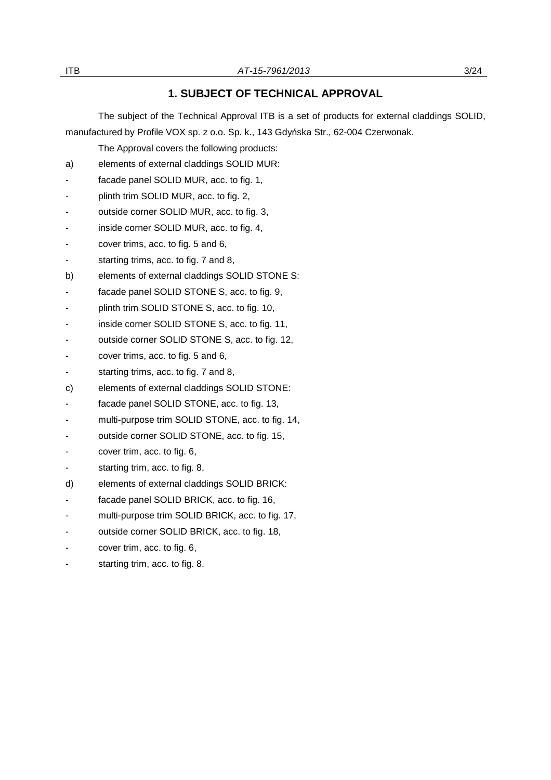## **1. SUBJECT OF TECHNICAL APPROVAL**

The subject of the Technical Approval ITB is a set of products for external claddings SOLID, manufactured by Profile VOX sp. z o.o. Sp. k., 143 Gdyńska Str., 62-004 Czerwonak.

The Approval covers the following products:

- a) elements of external claddings SOLID MUR:
- facade panel SOLID MUR, acc. to fig. 1,
- plinth trim SOLID MUR, acc. to fig. 2,
- outside corner SOLID MUR, acc. to fig. 3,
- inside corner SOLID MUR, acc. to fig. 4,
- cover trims, acc. to fig. 5 and 6,
- starting trims, acc. to fig. 7 and 8,
- b) elements of external claddings SOLID STONE S:
- facade panel SOLID STONE S, acc. to fig. 9,
- plinth trim SOLID STONE S, acc. to fig. 10,
- inside corner SOLID STONE S, acc. to fig. 11,
- outside corner SOLID STONE S, acc. to fig. 12,
- cover trims, acc. to fig. 5 and 6,
- starting trims, acc. to fig. 7 and 8,
- c) elements of external claddings SOLID STONE:
- facade panel SOLID STONE, acc. to fig. 13,
- multi-purpose trim SOLID STONE, acc. to fig. 14,
- outside corner SOLID STONE, acc. to fig. 15,
- cover trim, acc. to fig. 6,
- starting trim, acc. to fig. 8,
- d) elements of external claddings SOLID BRICK:
- facade panel SOLID BRICK, acc. to fig. 16,
- multi-purpose trim SOLID BRICK, acc. to fig. 17,
- outside corner SOLID BRICK, acc. to fig. 18,
- cover trim, acc. to fig. 6,
- starting trim, acc. to fig. 8.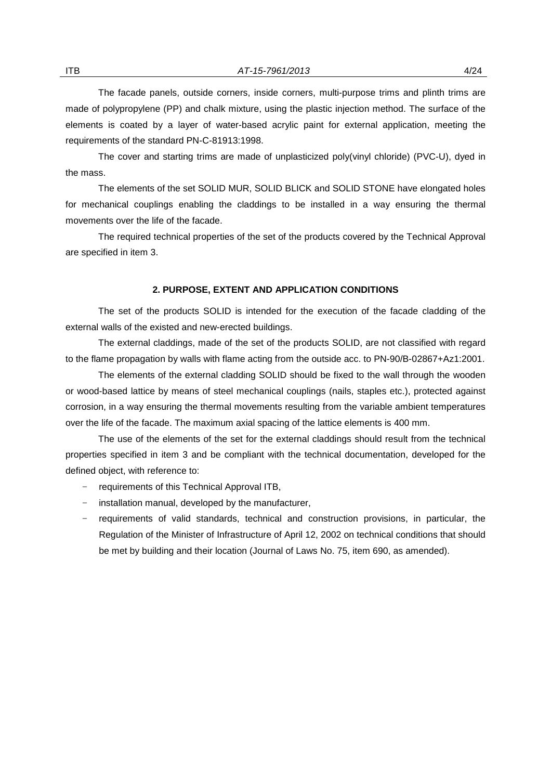The facade panels, outside corners, inside corners, multi-purpose trims and plinth trims are made of polypropylene (PP) and chalk mixture, using the plastic injection method. The surface of the elements is coated by a layer of water-based acrylic paint for external application, meeting the requirements of the standard PN-C-81913:1998.

The cover and starting trims are made of unplasticized poly(vinyl chloride) (PVC-U), dyed in the mass.

The elements of the set SOLID MUR, SOLID BLICK and SOLID STONE have elongated holes for mechanical couplings enabling the claddings to be installed in a way ensuring the thermal movements over the life of the facade.

The required technical properties of the set of the products covered by the Technical Approval are specified in item 3.

### **2. PURPOSE, EXTENT AND APPLICATION CONDITIONS**

The set of the products SOLID is intended for the execution of the facade cladding of the external walls of the existed and new-erected buildings.

The external claddings, made of the set of the products SOLID, are not classified with regard to the flame propagation by walls with flame acting from the outside acc. to PN-90/B-02867+Az1:2001.

The elements of the external cladding SOLID should be fixed to the wall through the wooden or wood-based lattice by means of steel mechanical couplings (nails, staples etc.), protected against corrosion, in a way ensuring the thermal movements resulting from the variable ambient temperatures over the life of the facade. The maximum axial spacing of the lattice elements is 400 mm.

The use of the elements of the set for the external claddings should result from the technical properties specified in item 3 and be compliant with the technical documentation, developed for the defined object, with reference to:

- − requirements of this Technical Approval ITB,
- − installation manual, developed by the manufacturer,
- − requirements of valid standards, technical and construction provisions, in particular, the Regulation of the Minister of Infrastructure of April 12, 2002 on technical conditions that should be met by building and their location (Journal of Laws No. 75, item 690, as amended).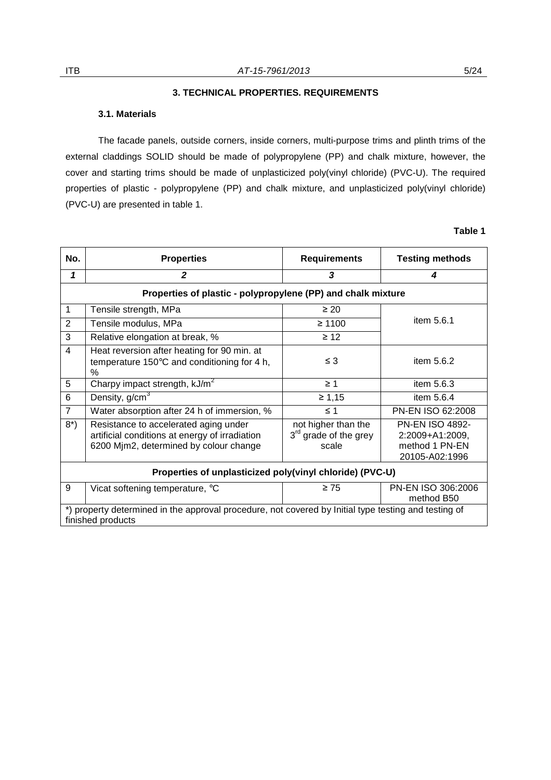## **3. TECHNICAL PROPERTIES. REQUIREMENTS**

#### **3.1. Materials**

The facade panels, outside corners, inside corners, multi-purpose trims and plinth trims of the external claddings SOLID should be made of polypropylene (PP) and chalk mixture, however, the cover and starting trims should be made of unplasticized poly(vinyl chloride) (PVC-U). The required properties of plastic - polypropylene (PP) and chalk mixture, and unplasticized poly(vinyl chloride) (PVC-U) are presented in table 1.

## **Table 1**

| No.                                                                                                                       | <b>Properties</b>                                                                                                                 | <b>Requirements</b>                                     | <b>Testing methods</b>                                                        |  |  |
|---------------------------------------------------------------------------------------------------------------------------|-----------------------------------------------------------------------------------------------------------------------------------|---------------------------------------------------------|-------------------------------------------------------------------------------|--|--|
| 1                                                                                                                         | $\mathbf{2}$                                                                                                                      | 3                                                       | 4                                                                             |  |  |
| Properties of plastic - polypropylene (PP) and chalk mixture                                                              |                                                                                                                                   |                                                         |                                                                               |  |  |
| 1                                                                                                                         | Tensile strength, MPa                                                                                                             | $\geq 20$                                               |                                                                               |  |  |
| $\overline{2}$                                                                                                            | Tensile modulus, MPa                                                                                                              | $\geq 1100$                                             | item 5.6.1                                                                    |  |  |
| 3                                                                                                                         | Relative elongation at break, %                                                                                                   | $\geq 12$                                               |                                                                               |  |  |
| $\overline{4}$                                                                                                            | Heat reversion after heating for 90 min. at<br>temperature 150°C and conditioning for 4 h,<br>%                                   | $\leq 3$                                                | item 5.6.2                                                                    |  |  |
| 5                                                                                                                         | Charpy impact strength, kJ/m <sup>2</sup>                                                                                         | $\geq 1$                                                | item 5.6.3                                                                    |  |  |
| 6                                                                                                                         | Density, $g/cm3$                                                                                                                  | $\geq 1,15$                                             | item 5.6.4                                                                    |  |  |
| $\overline{7}$                                                                                                            | Water absorption after 24 h of immersion, %                                                                                       | $\leq 1$                                                | PN-EN ISO 62:2008                                                             |  |  |
| $8^*$ )                                                                                                                   | Resistance to accelerated aging under<br>artificial conditions at energy of irradiation<br>6200 Mjm2, determined by colour change | not higher than the<br>$3rd$ grade of the grey<br>scale | <b>PN-EN ISO 4892-</b><br>2:2009+A1:2009,<br>method 1 PN-EN<br>20105-A02:1996 |  |  |
| Properties of unplasticized poly(vinyl chloride) (PVC-U)                                                                  |                                                                                                                                   |                                                         |                                                                               |  |  |
| 9                                                                                                                         | Vicat softening temperature, °C                                                                                                   | $\geq 75$                                               | PN-EN ISO 306:2006<br>method B50                                              |  |  |
| *) property determined in the approval procedure, not covered by Initial type testing and testing of<br>finished products |                                                                                                                                   |                                                         |                                                                               |  |  |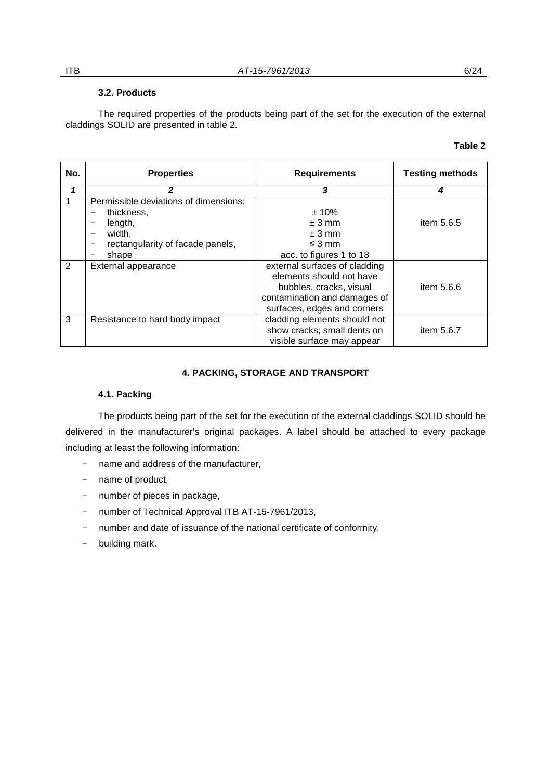## **3.2. Products**

 The required properties of the products being part of the set for the execution of the external claddings SOLID are presented in table 2.

### **Table 2**

| No. | <b>Properties</b>                     | <b>Requirements</b>           | <b>Testing methods</b> |
|-----|---------------------------------------|-------------------------------|------------------------|
|     |                                       | 3                             | 4                      |
| 1   | Permissible deviations of dimensions: |                               |                        |
|     | thickness,                            | ± 10%                         |                        |
|     | length,                               | $± 3$ mm                      | item 5.6.5             |
|     | width,                                | $± 3$ mm                      |                        |
|     | rectangularity of facade panels,      | $\leq$ 3 mm                   |                        |
|     | shape                                 | acc. to figures 1 to 18       |                        |
| 2   | External appearance                   | external surfaces of cladding |                        |
|     |                                       | elements should not have      |                        |
|     |                                       | bubbles, cracks, visual       | item $5.6.6$           |
|     |                                       | contamination and damages of  |                        |
|     |                                       | surfaces, edges and corners   |                        |
| 3   | Resistance to hard body impact        | cladding elements should not  |                        |
|     |                                       | show cracks; small dents on   | item $5.6.7$           |
|     |                                       | visible surface may appear    |                        |

## **4. PACKING, STORAGE AND TRANSPORT**

## **4.1. Packing**

The products being part of the set for the execution of the external claddings SOLID should be delivered in the manufacturer's original packages. A label should be attached to every package including at least the following information:

- − name and address of the manufacturer,
- − name of product,
- − number of pieces in package,
- − number of Technical Approval ITB AT-15-7961/2013,
- − number and date of issuance of the national certificate of conformity,
- − building mark.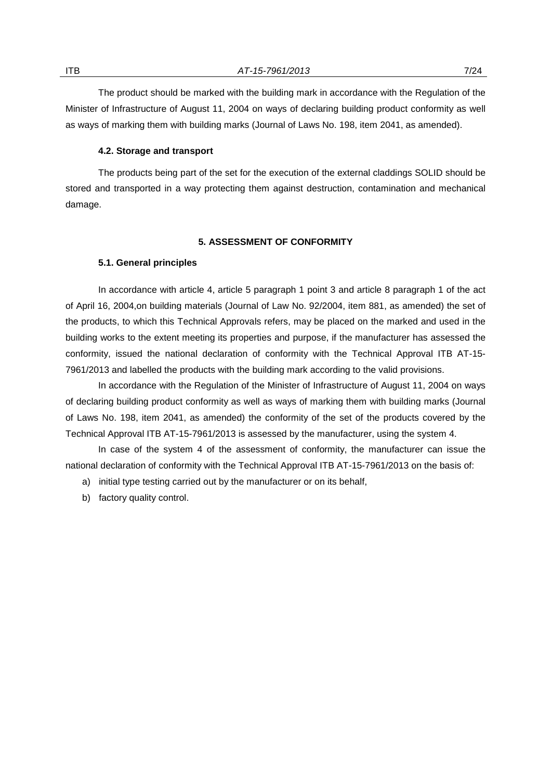The product should be marked with the building mark in accordance with the Regulation of the Minister of Infrastructure of August 11, 2004 on ways of declaring building product conformity as well as ways of marking them with building marks (Journal of Laws No. 198, item 2041, as amended).

#### **4.2. Storage and transport**

The products being part of the set for the execution of the external claddings SOLID should be stored and transported in a way protecting them against destruction, contamination and mechanical damage.

#### **5. ASSESSMENT OF CONFORMITY**

#### **5.1. General principles**

In accordance with article 4, article 5 paragraph 1 point 3 and article 8 paragraph 1 of the act of April 16, 2004,on building materials (Journal of Law No. 92/2004, item 881, as amended) the set of the products, to which this Technical Approvals refers, may be placed on the marked and used in the building works to the extent meeting its properties and purpose, if the manufacturer has assessed the conformity, issued the national declaration of conformity with the Technical Approval ITB AT-15- 7961/2013 and labelled the products with the building mark according to the valid provisions.

In accordance with the Regulation of the Minister of Infrastructure of August 11, 2004 on ways of declaring building product conformity as well as ways of marking them with building marks (Journal of Laws No. 198, item 2041, as amended) the conformity of the set of the products covered by the Technical Approval ITB AT-15-7961/2013 is assessed by the manufacturer, using the system 4.

In case of the system 4 of the assessment of conformity, the manufacturer can issue the national declaration of conformity with the Technical Approval ITB AT-15-7961/2013 on the basis of:

- a) initial type testing carried out by the manufacturer or on its behalf,
- b) factory quality control.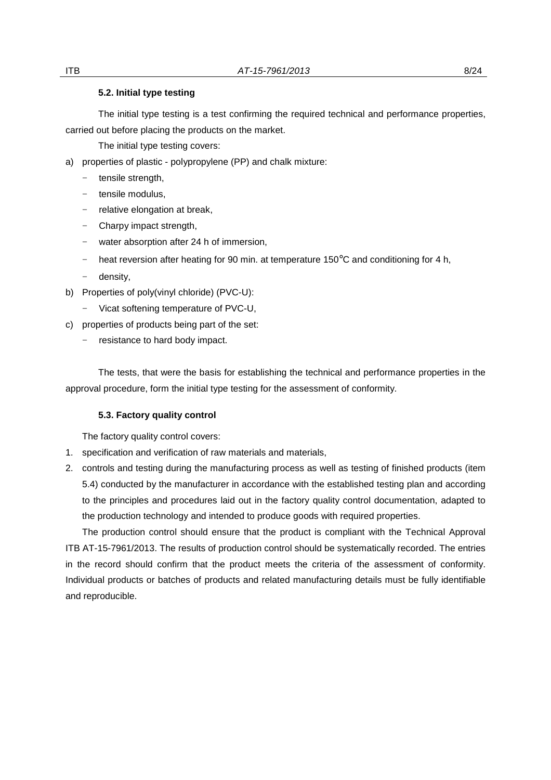#### **5.2. Initial type testing**

The initial type testing is a test confirming the required technical and performance properties, carried out before placing the products on the market.

The initial type testing covers:

- a) properties of plastic polypropylene (PP) and chalk mixture:
	- − tensile strength,
	- − tensile modulus,
	- − relative elongation at break,
	- − Charpy impact strength,
	- − water absorption after 24 h of immersion,
	- − heat reversion after heating for 90 min. at temperature 150°C and conditioning for 4 h,
	- − density,
- b) Properties of poly(vinyl chloride) (PVC-U):
	- − Vicat softening temperature of PVC-U,
- c) properties of products being part of the set:
	- − resistance to hard body impact.

 The tests, that were the basis for establishing the technical and performance properties in the approval procedure, form the initial type testing for the assessment of conformity.

## **5.3. Factory quality control**

The factory quality control covers:

- 1. specification and verification of raw materials and materials,
- 2. controls and testing during the manufacturing process as well as testing of finished products (item 5.4) conducted by the manufacturer in accordance with the established testing plan and according to the principles and procedures laid out in the factory quality control documentation, adapted to the production technology and intended to produce goods with required properties.

The production control should ensure that the product is compliant with the Technical Approval ITB AT-15-7961/2013. The results of production control should be systematically recorded. The entries in the record should confirm that the product meets the criteria of the assessment of conformity. Individual products or batches of products and related manufacturing details must be fully identifiable and reproducible.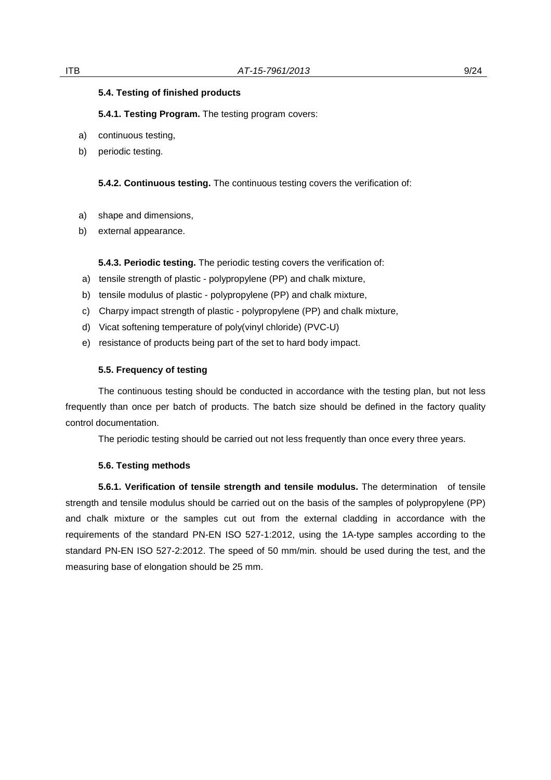#### **5.4. Testing of finished products**

**5.4.1. Testing Program.** The testing program covers:

- a) continuous testing,
- b) periodic testing.

**5.4.2. Continuous testing.** The continuous testing covers the verification of:

- a) shape and dimensions,
- b) external appearance.

**5.4.3. Periodic testing.** The periodic testing covers the verification of:

- a) tensile strength of plastic polypropylene (PP) and chalk mixture,
- b) tensile modulus of plastic polypropylene (PP) and chalk mixture,
- c) Charpy impact strength of plastic polypropylene (PP) and chalk mixture,
- d) Vicat softening temperature of poly(vinyl chloride) (PVC-U)
- e) resistance of products being part of the set to hard body impact.

## **5.5. Frequency of testing**

The continuous testing should be conducted in accordance with the testing plan, but not less frequently than once per batch of products. The batch size should be defined in the factory quality control documentation.

The periodic testing should be carried out not less frequently than once every three years.

#### **5.6. Testing methods**

**5.6.1. Verification of tensile strength and tensile modulus.** The determination of tensile strength and tensile modulus should be carried out on the basis of the samples of polypropylene (PP) and chalk mixture or the samples cut out from the external cladding in accordance with the requirements of the standard PN-EN ISO 527-1:2012, using the 1A-type samples according to the standard PN-EN ISO 527-2:2012. The speed of 50 mm/min. should be used during the test, and the measuring base of elongation should be 25 mm.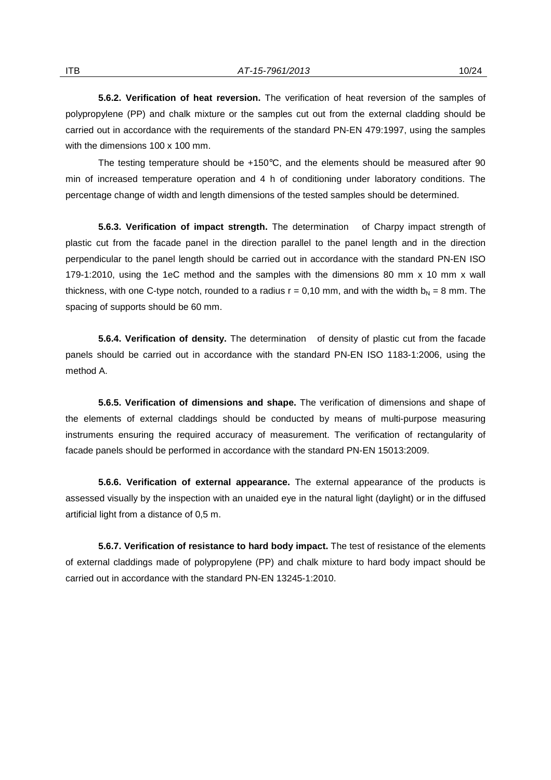**5.6.2. Verification of heat reversion.** The verification of heat reversion of the samples of polypropylene (PP) and chalk mixture or the samples cut out from the external cladding should be carried out in accordance with the requirements of the standard PN-EN 479:1997, using the samples with the dimensions 100 x 100 mm.

The testing temperature should be  $+150^{\circ}$ C, and the elements should be measured after 90 min of increased temperature operation and 4 h of conditioning under laboratory conditions. The percentage change of width and length dimensions of the tested samples should be determined.

**5.6.3. Verification of impact strength.** The determination of Charpy impact strength of plastic cut from the facade panel in the direction parallel to the panel length and in the direction perpendicular to the panel length should be carried out in accordance with the standard PN-EN ISO 179-1:2010, using the 1eC method and the samples with the dimensions 80 mm x 10 mm x wall thickness, with one C-type notch, rounded to a radius  $r = 0.10$  mm, and with the width  $b_N = 8$  mm. The spacing of supports should be 60 mm.

**5.6.4. Verification of density.** The determination of density of plastic cut from the facade panels should be carried out in accordance with the standard PN-EN ISO 1183-1:2006, using the method A.

**5.6.5. Verification of dimensions and shape.** The verification of dimensions and shape of the elements of external claddings should be conducted by means of multi-purpose measuring instruments ensuring the required accuracy of measurement. The verification of rectangularity of facade panels should be performed in accordance with the standard PN-EN 15013:2009.

**5.6.6. Verification of external appearance.** The external appearance of the products is assessed visually by the inspection with an unaided eye in the natural light (daylight) or in the diffused artificial light from a distance of 0,5 m.

**5.6.7. Verification of resistance to hard body impact.** The test of resistance of the elements of external claddings made of polypropylene (PP) and chalk mixture to hard body impact should be carried out in accordance with the standard PN-EN 13245-1:2010.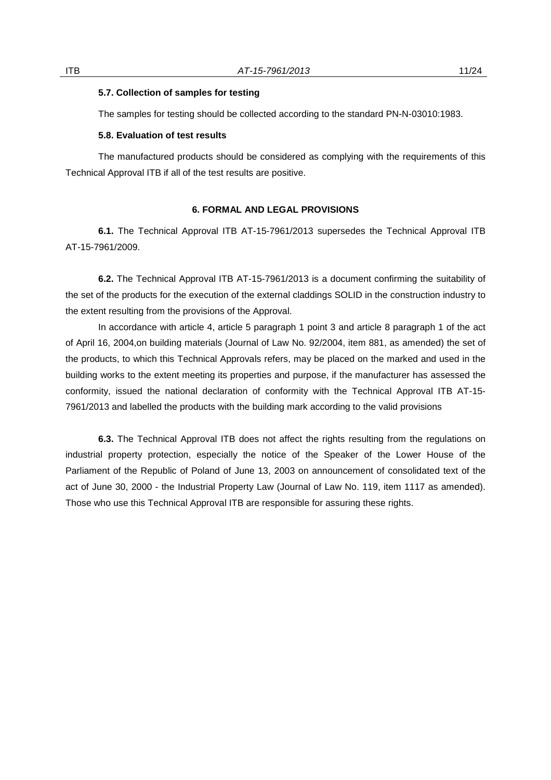#### **5.7. Collection of samples for testing**

The samples for testing should be collected according to the standard PN-N-03010:1983.

#### **5.8. Evaluation of test results**

The manufactured products should be considered as complying with the requirements of this Technical Approval ITB if all of the test results are positive.

## **6. FORMAL AND LEGAL PROVISIONS**

**6.1.** The Technical Approval ITB AT-15-7961/2013 supersedes the Technical Approval ITB AT-15-7961/2009.

**6.2.** The Technical Approval ITB AT-15-7961/2013 is a document confirming the suitability of the set of the products for the execution of the external claddings SOLID in the construction industry to the extent resulting from the provisions of the Approval.

In accordance with article 4, article 5 paragraph 1 point 3 and article 8 paragraph 1 of the act of April 16, 2004,on building materials (Journal of Law No. 92/2004, item 881, as amended) the set of the products, to which this Technical Approvals refers, may be placed on the marked and used in the building works to the extent meeting its properties and purpose, if the manufacturer has assessed the conformity, issued the national declaration of conformity with the Technical Approval ITB AT-15- 7961/2013 and labelled the products with the building mark according to the valid provisions

**6.3.** The Technical Approval ITB does not affect the rights resulting from the regulations on industrial property protection, especially the notice of the Speaker of the Lower House of the Parliament of the Republic of Poland of June 13, 2003 on announcement of consolidated text of the act of June 30, 2000 - the Industrial Property Law (Journal of Law No. 119, item 1117 as amended). Those who use this Technical Approval ITB are responsible for assuring these rights.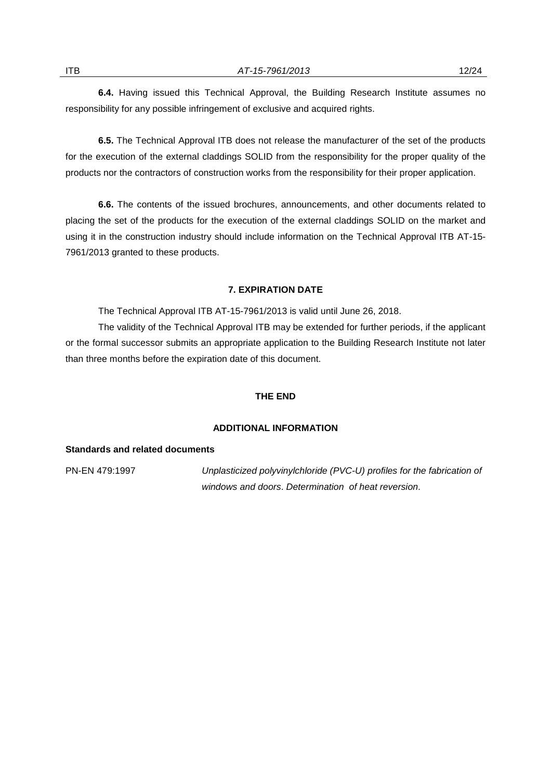**6.4.** Having issued this Technical Approval, the Building Research Institute assumes no responsibility for any possible infringement of exclusive and acquired rights.

**6.5.** The Technical Approval ITB does not release the manufacturer of the set of the products for the execution of the external claddings SOLID from the responsibility for the proper quality of the products nor the contractors of construction works from the responsibility for their proper application.

**6.6.** The contents of the issued brochures, announcements, and other documents related to placing the set of the products for the execution of the external claddings SOLID on the market and using it in the construction industry should include information on the Technical Approval ITB AT-15- 7961/2013 granted to these products.

## **7. EXPIRATION DATE**

The Technical Approval ITB AT-15-7961/2013 is valid until June 26, 2018.

 The validity of the Technical Approval ITB may be extended for further periods, if the applicant or the formal successor submits an appropriate application to the Building Research Institute not later than three months before the expiration date of this document.

#### **THE END**

#### **ADDITIONAL INFORMATION**

#### **Standards and related documents**

PN-EN 479:1997 Unplasticized polyvinylchloride (PVC-U) profiles for the fabrication of windows and doors. Determination of heat reversion.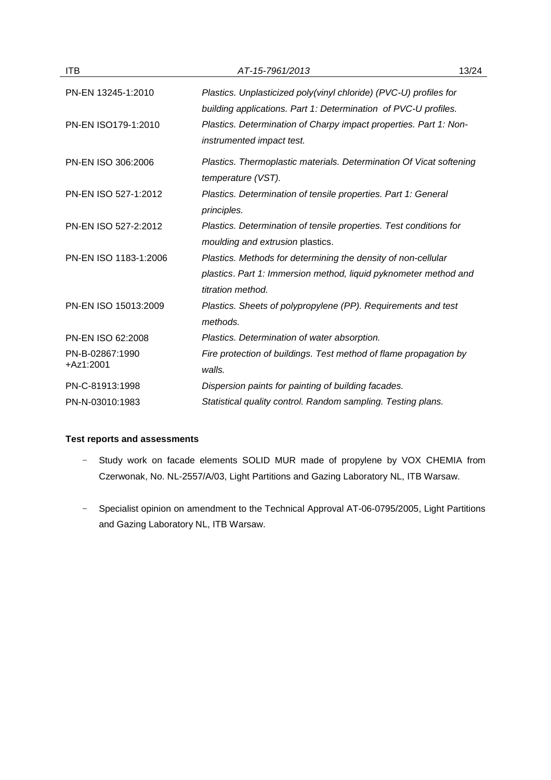| <b>ITB</b>            | AT-15-7961/2013                                                     | 13/24 |
|-----------------------|---------------------------------------------------------------------|-------|
| PN-EN 13245-1:2010    | Plastics. Unplasticized poly(vinyl chloride) (PVC-U) profiles for   |       |
|                       | building applications. Part 1: Determination of PVC-U profiles.     |       |
| PN-EN ISO179-1:2010   | Plastics. Determination of Charpy impact properties. Part 1: Non-   |       |
|                       | instrumented impact test.                                           |       |
| PN-EN ISO 306:2006    | Plastics. Thermoplastic materials. Determination Of Vicat softening |       |
|                       | temperature (VST).                                                  |       |
| PN-EN ISO 527-1:2012  | Plastics. Determination of tensile properties. Part 1: General      |       |
|                       | principles.                                                         |       |
| PN-EN ISO 527-2:2012  | Plastics. Determination of tensile properties. Test conditions for  |       |
|                       | moulding and extrusion plastics.                                    |       |
| PN-EN ISO 1183-1:2006 | Plastics. Methods for determining the density of non-cellular       |       |
|                       | plastics. Part 1: Immersion method, liquid pyknometer method and    |       |
|                       | titration method.                                                   |       |
| PN-EN ISO 15013:2009  | Plastics. Sheets of polypropylene (PP). Requirements and test       |       |
|                       | methods.                                                            |       |
| PN-EN ISO 62:2008     | Plastics. Determination of water absorption.                        |       |
| PN-B-02867:1990       | Fire protection of buildings. Test method of flame propagation by   |       |
| +Az1:2001             | walls.                                                              |       |
| PN-C-81913:1998       | Dispersion paints for painting of building facades.                 |       |
| PN-N-03010:1983       | Statistical quality control. Random sampling. Testing plans.        |       |

## **Test reports and assessments**

- − Study work on facade elements SOLID MUR made of propylene by VOX CHEMIA from Czerwonak, No. NL-2557/A/03, Light Partitions and Gazing Laboratory NL, ITB Warsaw.
- − Specialist opinion on amendment to the Technical Approval AT-06-0795/2005, Light Partitions and Gazing Laboratory NL, ITB Warsaw.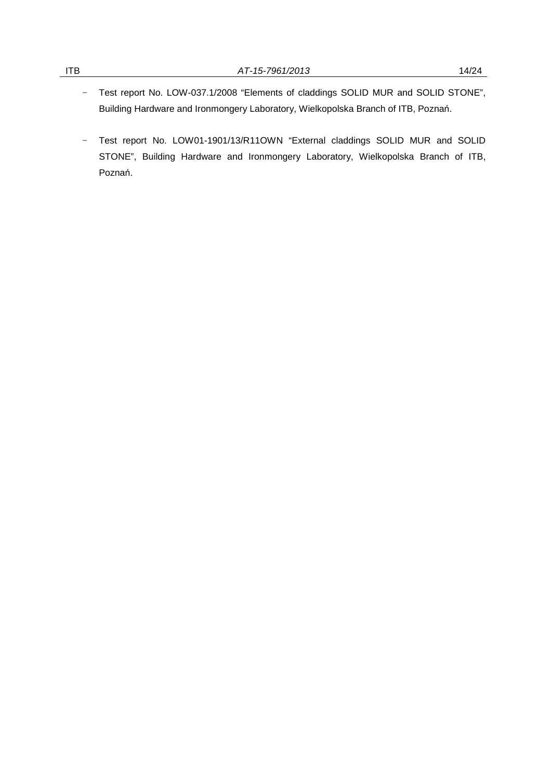- − Test report No. LOW-037.1/2008 "Elements of claddings SOLID MUR and SOLID STONE", Building Hardware and Ironmongery Laboratory, Wielkopolska Branch of ITB, Poznań.
- − Test report No. LOW01-1901/13/R11OWN "External claddings SOLID MUR and SOLID STONE", Building Hardware and Ironmongery Laboratory, Wielkopolska Branch of ITB, Poznań.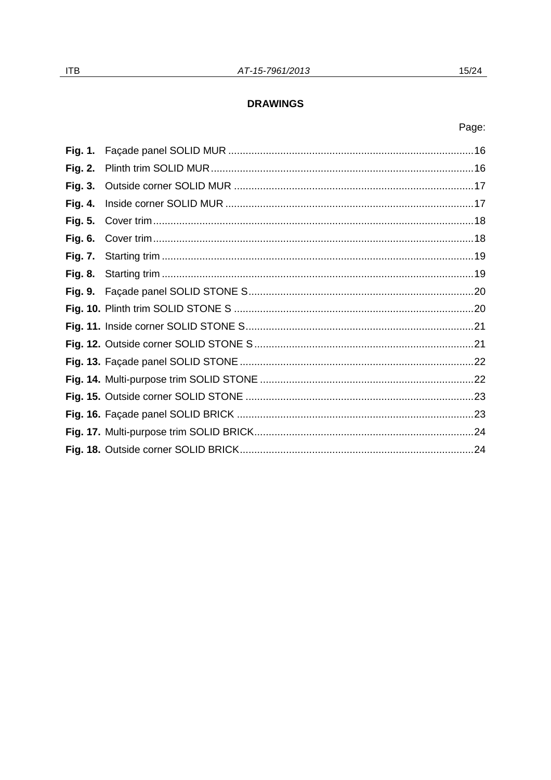## **DRAWINGS**

## Page:

| <b>Fig. 3.</b> |  |
|----------------|--|
| <b>Fig. 4.</b> |  |
| <b>Fig. 5.</b> |  |
| <b>Fig. 6.</b> |  |
| <b>Fig. 7.</b> |  |
| <b>Fig. 8.</b> |  |
|                |  |
|                |  |
|                |  |
|                |  |
|                |  |
|                |  |
|                |  |
|                |  |
|                |  |
|                |  |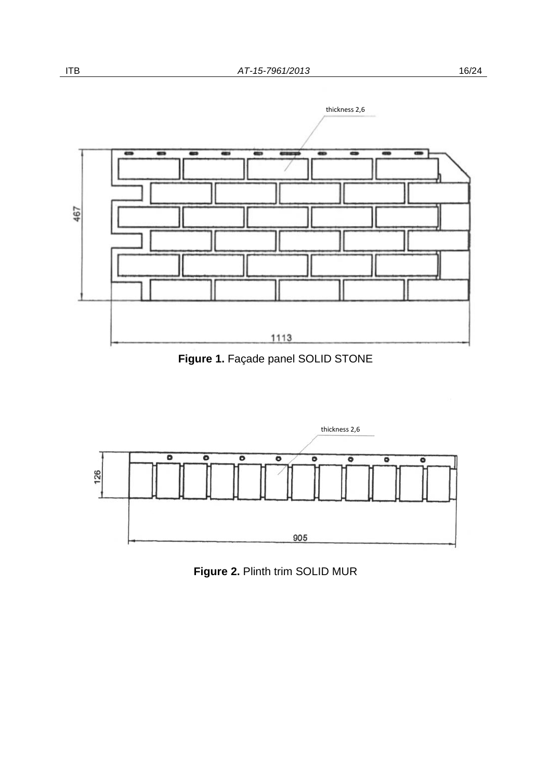



**Figure 1.** Façade panel SOLID STONE



**Figure 2.** Plinth trim SOLID MUR

467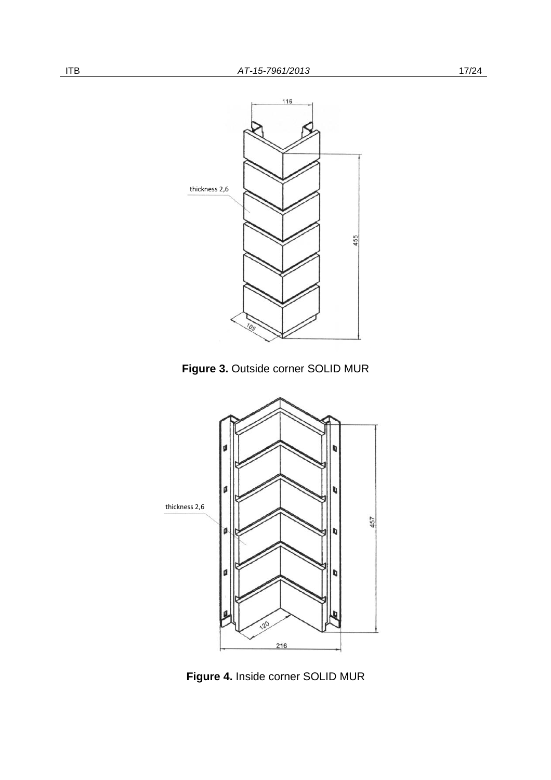

**Figure 3.** Outside corner SOLID MUR



**Figure 4.** Inside corner SOLID MUR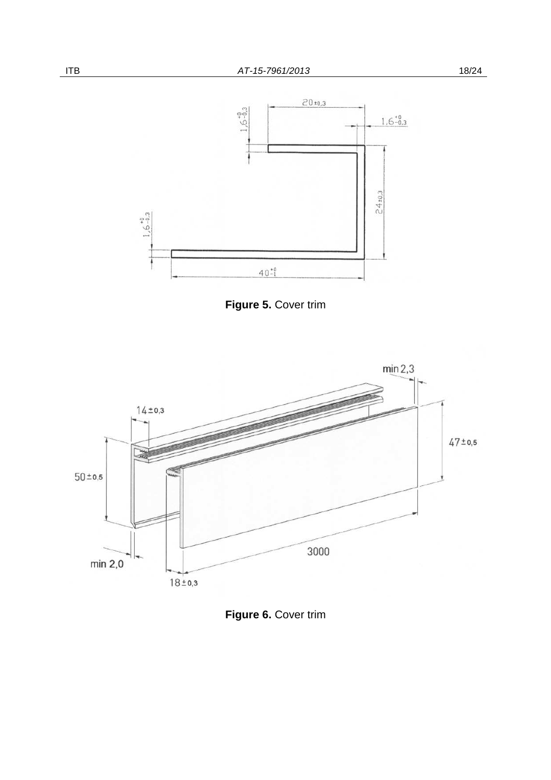





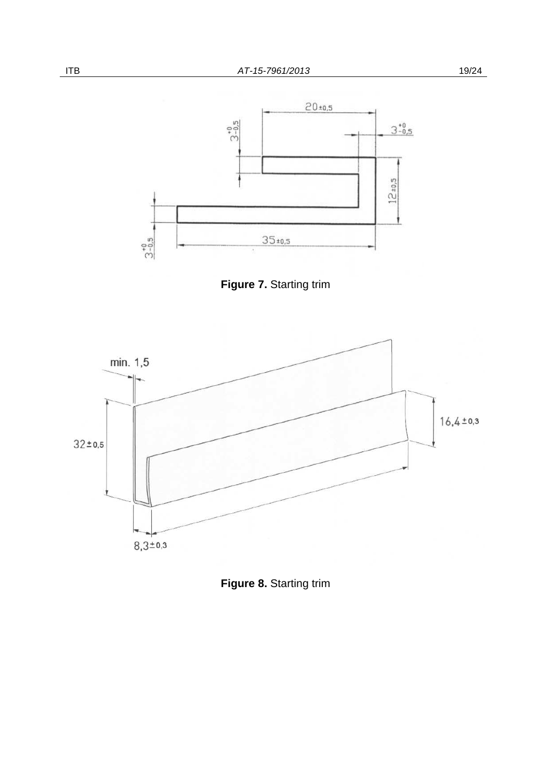





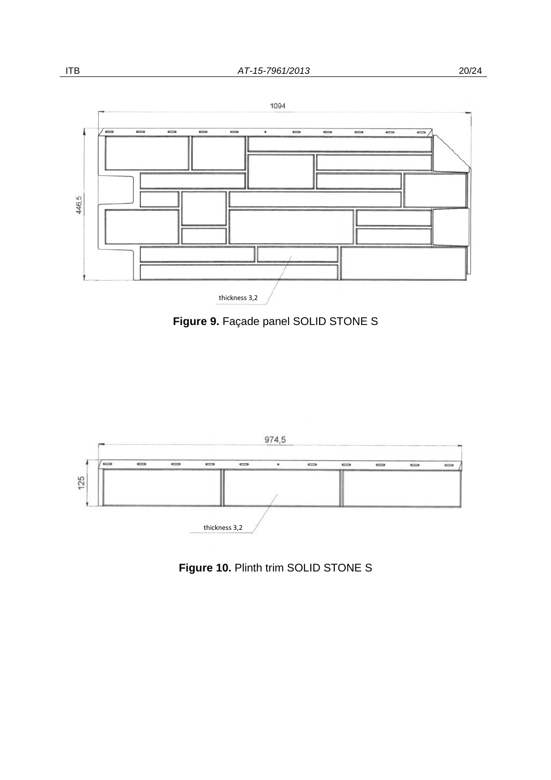





# **Figure 10. Plinth trim SOLID STONE S**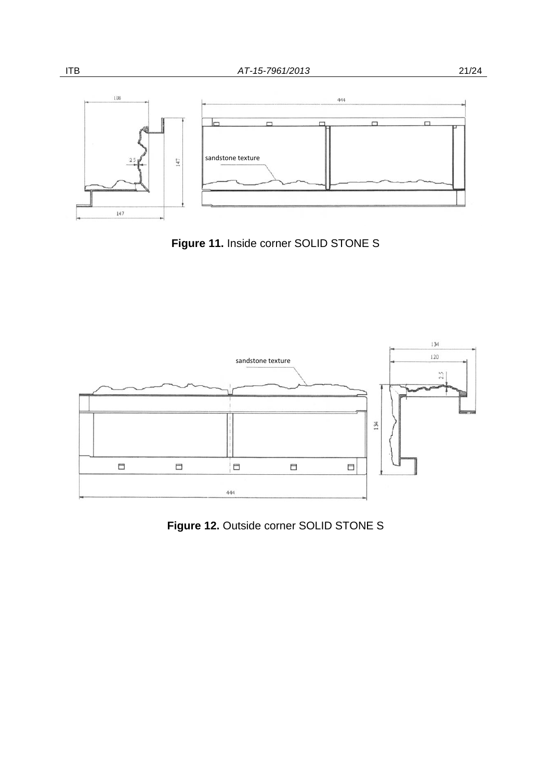

**Figure 11.** Inside corner SOLID STONE S



**Figure 12.** Outside corner SOLID STONE S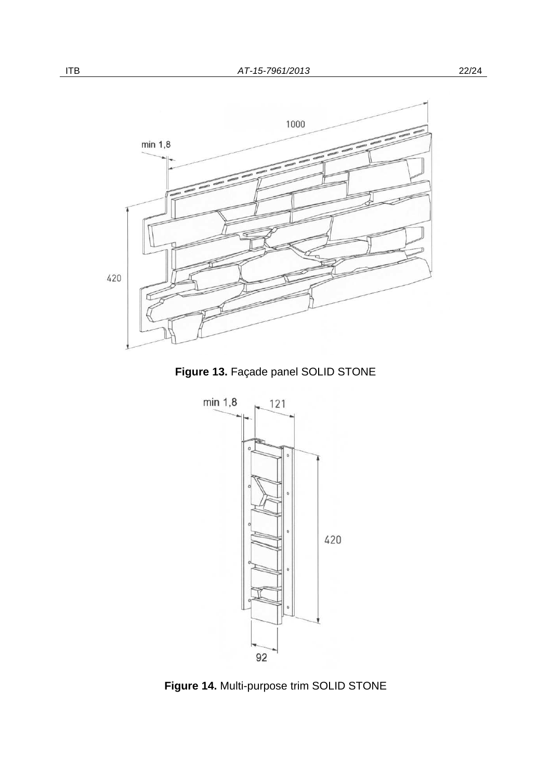

**Figure 13.** Façade panel SOLID STONE



**Figure 14.** Multi-purpose trim SOLID STONE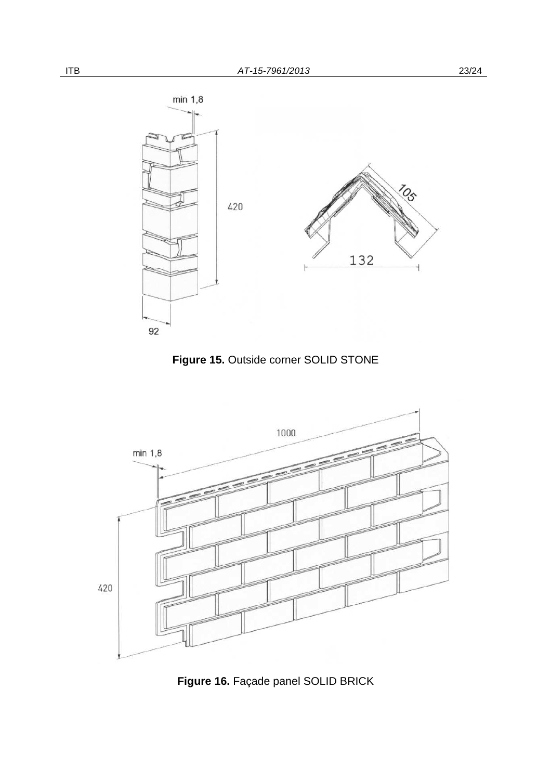





**Figure 16.** Façade panel SOLID BRICK